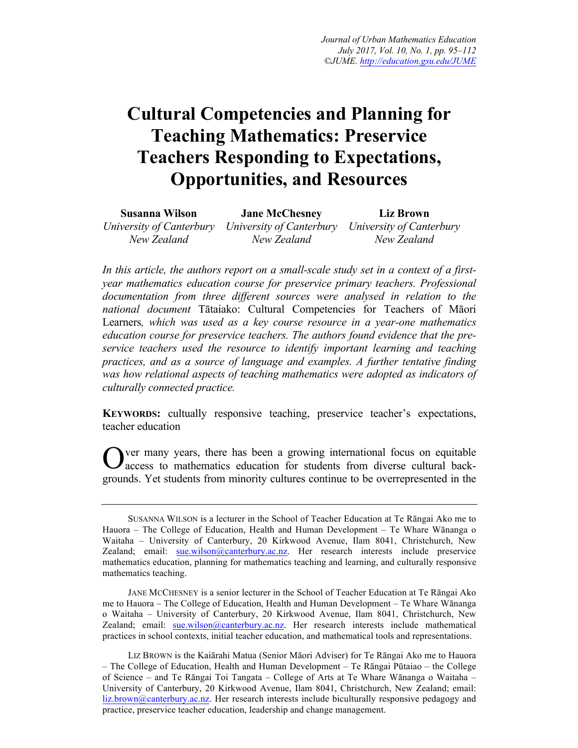# **Cultural Competencies and Planning for Teaching Mathematics: Preservice Teachers Responding to Expectations, Opportunities, and Resources**

| Susanna Wilson | <b>Jane McChesney</b>                                                      | Liz Brown   |
|----------------|----------------------------------------------------------------------------|-------------|
|                | University of Canterbury University of Canterbury University of Canterbury |             |
| New Zealand    | New Zealand                                                                | New Zealand |

*In this article, the authors report on a small-scale study set in a context of a firstyear mathematics education course for preservice primary teachers. Professional documentation from three different sources were analysed in relation to the national document* Tātaiako: Cultural Competencies for Teachers of Māori Learners*, which was used as a key course resource in a year-one mathematics education course for preservice teachers. The authors found evidence that the preservice teachers used the resource to identify important learning and teaching practices, and as a source of language and examples. A further tentative finding was how relational aspects of teaching mathematics were adopted as indicators of culturally connected practice.* 

**KEYWORDS:** cultually responsive teaching, preservice teacher's expectations, teacher education

ver many years, there has been a growing international focus on equitable access to mathematics education for students from diverse cultural backgrounds. Yet students from minority cultures continue to be overrepresented in the O

SUSANNA WILSON is a lecturer in the School of Teacher Education at Te Rāngai Ako me to Hauora – The College of Education, Health and Human Development – Te Whare Wānanga o Waitaha – University of Canterbury, 20 Kirkwood Avenue, Ilam 8041, Christchurch, New Zealand; email: sue.wilson@canterbury.ac.nz. Her research interests include preservice mathematics education, planning for mathematics teaching and learning, and culturally responsive mathematics teaching.

JANE MCCHESNEY is a senior lecturer in the School of Teacher Education at Te Rāngai Ako me to Hauora – The College of Education, Health and Human Development – Te Whare Wānanga o Waitaha – University of Canterbury, 20 Kirkwood Avenue, Ilam 8041, Christchurch, New Zealand; email: sue.wilson@canterbury.ac.nz. Her research interests include mathematical practices in school contexts, initial teacher education, and mathematical tools and representations.

LIZ BROWN is the Kaiārahi Matua (Senior Māori Adviser) for Te Rāngai Ako me to Hauora – The College of Education, Health and Human Development – Te Rāngai Pūtaiao – the College of Science – and Te Rāngai Toi Tangata – College of Arts at Te Whare Wānanga o Waitaha – University of Canterbury, 20 Kirkwood Avenue, Ilam 8041, Christchurch, New Zealand; email: liz.brown@canterbury.ac.nz. Her research interests include biculturally responsive pedagogy and practice, preservice teacher education, leadership and change management.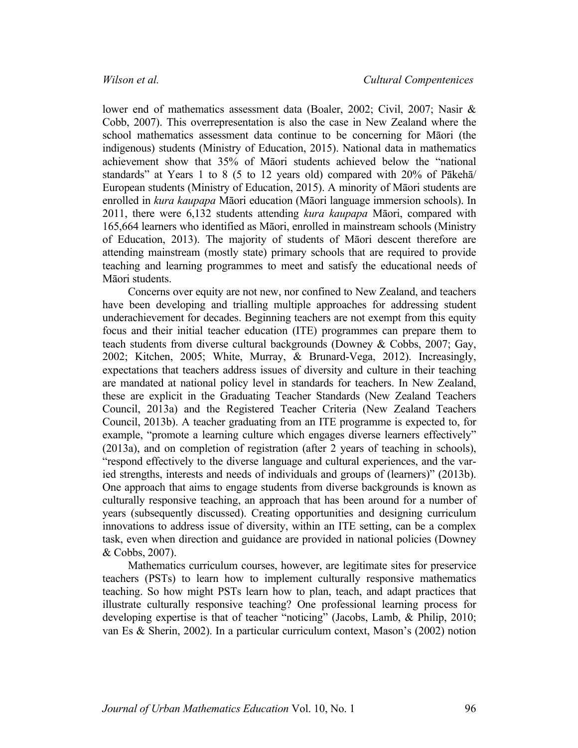lower end of mathematics assessment data (Boaler, 2002; Civil, 2007; Nasir & Cobb, 2007). This overrepresentation is also the case in New Zealand where the school mathematics assessment data continue to be concerning for Māori (the indigenous) students (Ministry of Education, 2015). National data in mathematics achievement show that 35% of Māori students achieved below the "national standards" at Years 1 to 8 (5 to 12 years old) compared with 20% of Pākehā/ European students (Ministry of Education, 2015). A minority of Māori students are enrolled in *kura kaupapa* Māori education (Māori language immersion schools). In 2011, there were 6,132 students attending *kura kaupapa* Māori, compared with 165,664 learners who identified as Māori, enrolled in mainstream schools (Ministry of Education, 2013). The majority of students of Māori descent therefore are attending mainstream (mostly state) primary schools that are required to provide teaching and learning programmes to meet and satisfy the educational needs of Māori students.

Concerns over equity are not new, nor confined to New Zealand, and teachers have been developing and trialling multiple approaches for addressing student underachievement for decades. Beginning teachers are not exempt from this equity focus and their initial teacher education (ITE) programmes can prepare them to teach students from diverse cultural backgrounds (Downey & Cobbs, 2007; Gay, 2002; Kitchen, 2005; White, Murray, & Brunard-Vega, 2012). Increasingly, expectations that teachers address issues of diversity and culture in their teaching are mandated at national policy level in standards for teachers. In New Zealand, these are explicit in the Graduating Teacher Standards (New Zealand Teachers Council, 2013a) and the Registered Teacher Criteria (New Zealand Teachers Council, 2013b). A teacher graduating from an ITE programme is expected to, for example, "promote a learning culture which engages diverse learners effectively" (2013a), and on completion of registration (after 2 years of teaching in schools), "respond effectively to the diverse language and cultural experiences, and the varied strengths, interests and needs of individuals and groups of (learners)" (2013b). One approach that aims to engage students from diverse backgrounds is known as culturally responsive teaching, an approach that has been around for a number of years (subsequently discussed). Creating opportunities and designing curriculum innovations to address issue of diversity, within an ITE setting, can be a complex task, even when direction and guidance are provided in national policies (Downey & Cobbs, 2007).

Mathematics curriculum courses, however, are legitimate sites for preservice teachers (PSTs) to learn how to implement culturally responsive mathematics teaching. So how might PSTs learn how to plan, teach, and adapt practices that illustrate culturally responsive teaching? One professional learning process for developing expertise is that of teacher "noticing" (Jacobs, Lamb, & Philip, 2010; van Es & Sherin, 2002). In a particular curriculum context, Mason's (2002) notion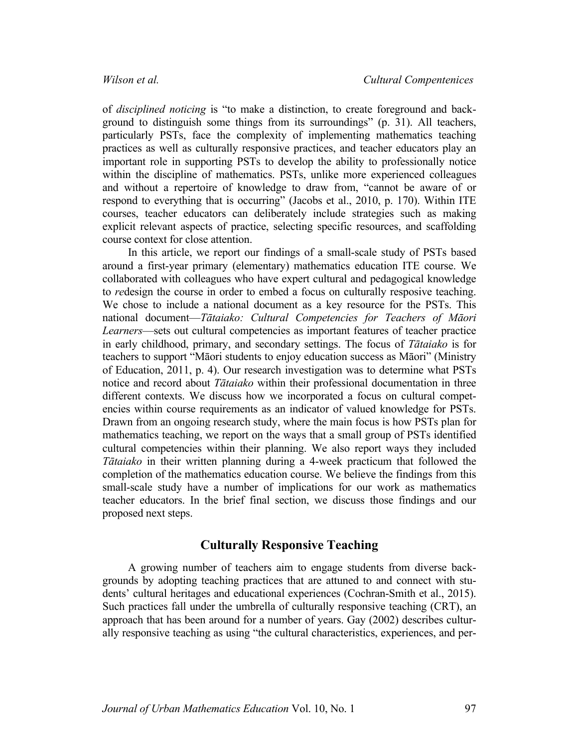of *disciplined noticing* is "to make a distinction, to create foreground and background to distinguish some things from its surroundings" (p. 31). All teachers, particularly PSTs, face the complexity of implementing mathematics teaching practices as well as culturally responsive practices, and teacher educators play an important role in supporting PSTs to develop the ability to professionally notice within the discipline of mathematics. PSTs, unlike more experienced colleagues and without a repertoire of knowledge to draw from, "cannot be aware of or respond to everything that is occurring" (Jacobs et al., 2010, p. 170). Within ITE courses, teacher educators can deliberately include strategies such as making explicit relevant aspects of practice, selecting specific resources, and scaffolding course context for close attention.

In this article, we report our findings of a small-scale study of PSTs based around a first-year primary (elementary) mathematics education ITE course. We collaborated with colleagues who have expert cultural and pedagogical knowledge to *re*design the course in order to embed a focus on culturally resposive teaching. We chose to include a national document as a key resource for the PSTs. This national document—*Tātaiako: Cultural Competencies for Teachers of Māori Learners*—sets out cultural competencies as important features of teacher practice in early childhood, primary, and secondary settings. The focus of *Tātaiako* is for teachers to support "Māori students to enjoy education success as Māori" (Ministry of Education, 2011, p. 4). Our research investigation was to determine what PSTs notice and record about *Tātaiako* within their professional documentation in three different contexts. We discuss how we incorporated a focus on cultural competencies within course requirements as an indicator of valued knowledge for PSTs. Drawn from an ongoing research study, where the main focus is how PSTs plan for mathematics teaching, we report on the ways that a small group of PSTs identified cultural competencies within their planning. We also report ways they included *Tātaiako* in their written planning during a 4-week practicum that followed the completion of the mathematics education course. We believe the findings from this small-scale study have a number of implications for our work as mathematics teacher educators. In the brief final section, we discuss those findings and our proposed next steps.

# **Culturally Responsive Teaching**

A growing number of teachers aim to engage students from diverse backgrounds by adopting teaching practices that are attuned to and connect with students' cultural heritages and educational experiences (Cochran-Smith et al., 2015). Such practices fall under the umbrella of culturally responsive teaching (CRT), an approach that has been around for a number of years. Gay (2002) describes culturally responsive teaching as using "the cultural characteristics, experiences, and per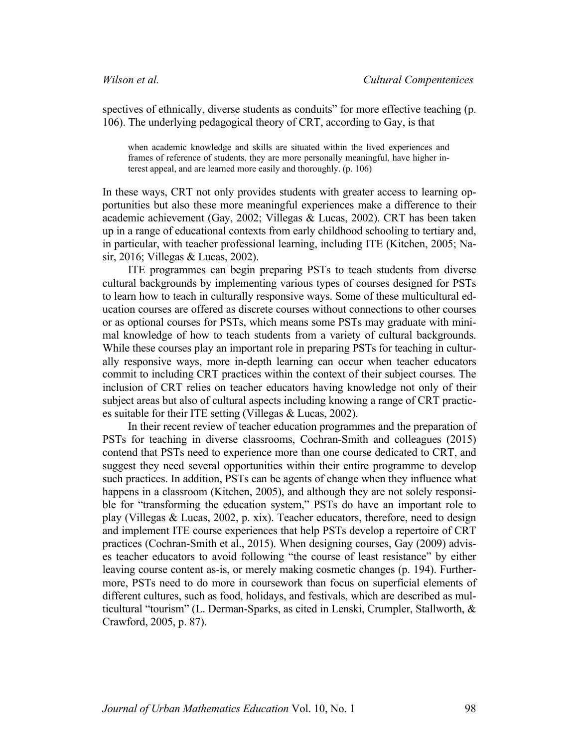spectives of ethnically, diverse students as conduits" for more effective teaching (p. 106). The underlying pedagogical theory of CRT, according to Gay, is that

when academic knowledge and skills are situated within the lived experiences and frames of reference of students, they are more personally meaningful, have higher interest appeal, and are learned more easily and thoroughly. (p. 106)

In these ways, CRT not only provides students with greater access to learning opportunities but also these more meaningful experiences make a difference to their academic achievement (Gay, 2002; Villegas & Lucas, 2002). CRT has been taken up in a range of educational contexts from early childhood schooling to tertiary and, in particular, with teacher professional learning, including ITE (Kitchen, 2005; Nasir, 2016; Villegas & Lucas, 2002).

ITE programmes can begin preparing PSTs to teach students from diverse cultural backgrounds by implementing various types of courses designed for PSTs to learn how to teach in culturally responsive ways. Some of these multicultural education courses are offered as discrete courses without connections to other courses or as optional courses for PSTs, which means some PSTs may graduate with minimal knowledge of how to teach students from a variety of cultural backgrounds. While these courses play an important role in preparing PSTs for teaching in culturally responsive ways, more in-depth learning can occur when teacher educators commit to including CRT practices within the context of their subject courses. The inclusion of CRT relies on teacher educators having knowledge not only of their subject areas but also of cultural aspects including knowing a range of CRT practices suitable for their ITE setting (Villegas & Lucas, 2002).

In their recent review of teacher education programmes and the preparation of PSTs for teaching in diverse classrooms, Cochran-Smith and colleagues (2015) contend that PSTs need to experience more than one course dedicated to CRT, and suggest they need several opportunities within their entire programme to develop such practices. In addition, PSTs can be agents of change when they influence what happens in a classroom (Kitchen, 2005), and although they are not solely responsible for "transforming the education system," PSTs do have an important role to play (Villegas & Lucas, 2002, p. xix). Teacher educators, therefore, need to design and implement ITE course experiences that help PSTs develop a repertoire of CRT practices (Cochran-Smith et al., 2015). When designing courses, Gay (2009) advises teacher educators to avoid following "the course of least resistance" by either leaving course content as-is, or merely making cosmetic changes (p. 194). Furthermore, PSTs need to do more in coursework than focus on superficial elements of different cultures, such as food, holidays, and festivals, which are described as multicultural "tourism" (L. Derman-Sparks, as cited in Lenski, Crumpler, Stallworth, & Crawford, 2005, p. 87).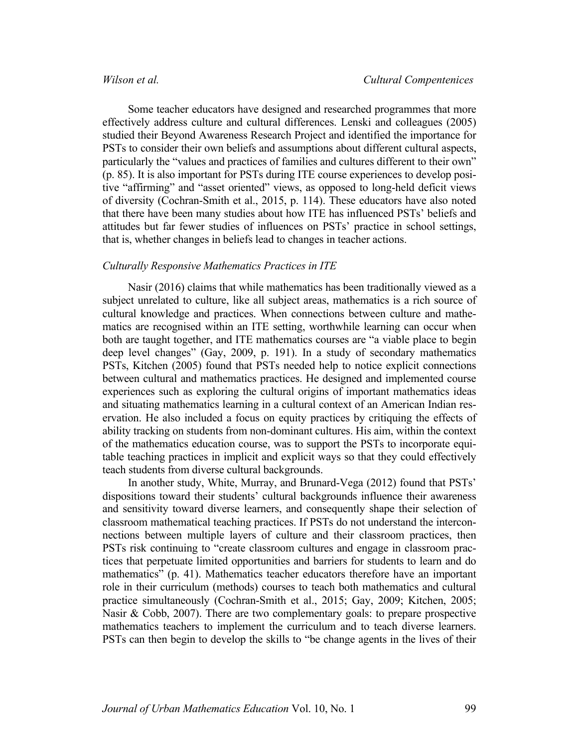Some teacher educators have designed and researched programmes that more effectively address culture and cultural differences. Lenski and colleagues (2005) studied their Beyond Awareness Research Project and identified the importance for PSTs to consider their own beliefs and assumptions about different cultural aspects, particularly the "values and practices of families and cultures different to their own" (p. 85). It is also important for PSTs during ITE course experiences to develop positive "affirming" and "asset oriented" views, as opposed to long-held deficit views of diversity (Cochran-Smith et al., 2015, p. 114). These educators have also noted that there have been many studies about how ITE has influenced PSTs' beliefs and attitudes but far fewer studies of influences on PSTs' practice in school settings, that is, whether changes in beliefs lead to changes in teacher actions.

### *Culturally Responsive Mathematics Practices in ITE*

Nasir (2016) claims that while mathematics has been traditionally viewed as a subject unrelated to culture, like all subject areas, mathematics is a rich source of cultural knowledge and practices. When connections between culture and mathematics are recognised within an ITE setting, worthwhile learning can occur when both are taught together, and ITE mathematics courses are "a viable place to begin deep level changes" (Gay, 2009, p. 191). In a study of secondary mathematics PSTs, Kitchen (2005) found that PSTs needed help to notice explicit connections between cultural and mathematics practices. He designed and implemented course experiences such as exploring the cultural origins of important mathematics ideas and situating mathematics learning in a cultural context of an American Indian reservation. He also included a focus on equity practices by critiquing the effects of ability tracking on students from non-dominant cultures. His aim, within the context of the mathematics education course, was to support the PSTs to incorporate equitable teaching practices in implicit and explicit ways so that they could effectively teach students from diverse cultural backgrounds.

In another study, White, Murray, and Brunard-Vega (2012) found that PSTs' dispositions toward their students' cultural backgrounds influence their awareness and sensitivity toward diverse learners, and consequently shape their selection of classroom mathematical teaching practices. If PSTs do not understand the interconnections between multiple layers of culture and their classroom practices, then PSTs risk continuing to "create classroom cultures and engage in classroom practices that perpetuate limited opportunities and barriers for students to learn and do mathematics" (p. 41). Mathematics teacher educators therefore have an important role in their curriculum (methods) courses to teach both mathematics and cultural practice simultaneously (Cochran-Smith et al., 2015; Gay, 2009; Kitchen, 2005; Nasir & Cobb, 2007). There are two complementary goals: to prepare prospective mathematics teachers to implement the curriculum and to teach diverse learners. PSTs can then begin to develop the skills to "be change agents in the lives of their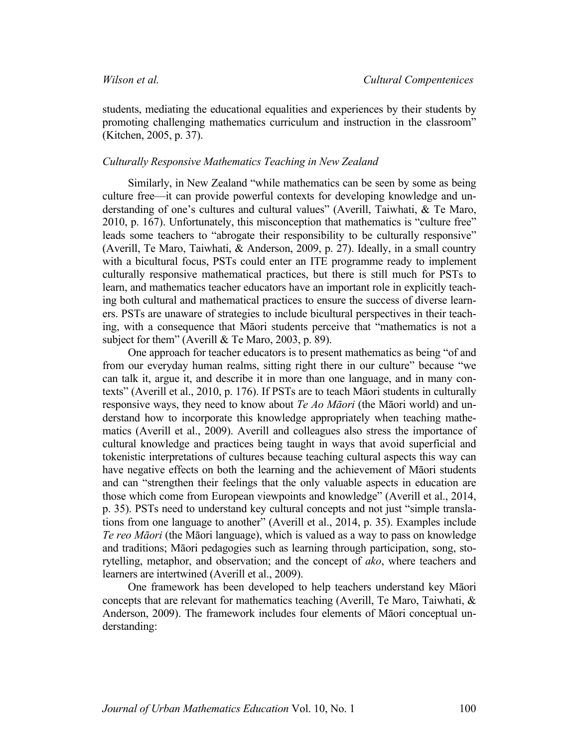students, mediating the educational equalities and experiences by their students by promoting challenging mathematics curriculum and instruction in the classroom" (Kitchen, 2005, p. 37).

### *Culturally Responsive Mathematics Teaching in New Zealand*

Similarly, in New Zealand "while mathematics can be seen by some as being culture free—it can provide powerful contexts for developing knowledge and understanding of one's cultures and cultural values" (Averill, Taiwhati, & Te Maro, 2010, p. 167). Unfortunately, this misconception that mathematics is "culture free" leads some teachers to "abrogate their responsibility to be culturally responsive" (Averill, Te Maro, Taiwhati, & Anderson, 2009, p. 27). Ideally, in a small country with a bicultural focus, PSTs could enter an ITE programme ready to implement culturally responsive mathematical practices, but there is still much for PSTs to learn, and mathematics teacher educators have an important role in explicitly teaching both cultural and mathematical practices to ensure the success of diverse learners. PSTs are unaware of strategies to include bicultural perspectives in their teaching, with a consequence that Māori students perceive that "mathematics is not a subject for them" (Averill & Te Maro, 2003, p. 89).

One approach for teacher educators is to present mathematics as being "of and from our everyday human realms, sitting right there in our culture" because "we can talk it, argue it, and describe it in more than one language, and in many contexts" (Averill et al., 2010, p. 176). If PSTs are to teach Māori students in culturally responsive ways, they need to know about *Te Ao Māori* (the Māori world) and understand how to incorporate this knowledge appropriately when teaching mathematics (Averill et al., 2009). Averill and colleagues also stress the importance of cultural knowledge and practices being taught in ways that avoid superficial and tokenistic interpretations of cultures because teaching cultural aspects this way can have negative effects on both the learning and the achievement of Māori students and can "strengthen their feelings that the only valuable aspects in education are those which come from European viewpoints and knowledge" (Averill et al., 2014, p. 35). PSTs need to understand key cultural concepts and not just "simple translations from one language to another" (Averill et al., 2014, p. 35). Examples include *Te reo Māori* (the Māori language), which is valued as a way to pass on knowledge and traditions; Māori pedagogies such as learning through participation, song, storytelling, metaphor, and observation; and the concept of *ako*, where teachers and learners are intertwined (Averill et al., 2009).

One framework has been developed to help teachers understand key Māori concepts that are relevant for mathematics teaching (Averill, Te Maro, Taiwhati, & Anderson, 2009). The framework includes four elements of Māori conceptual understanding: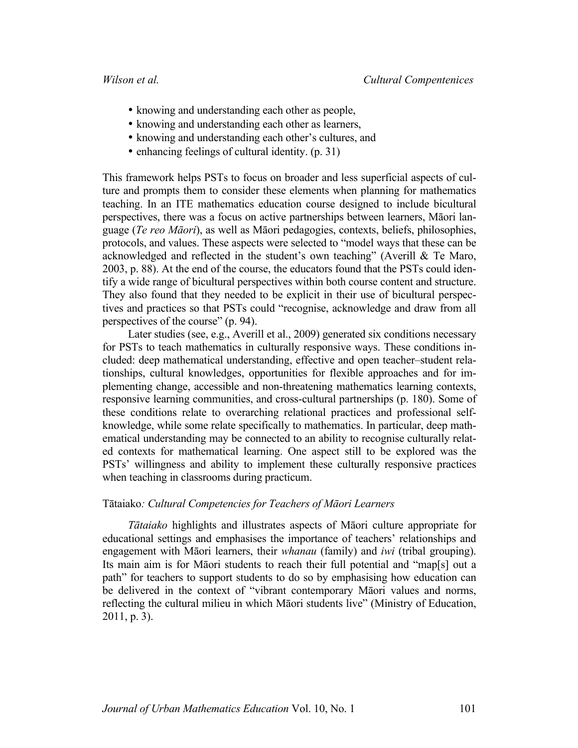- knowing and understanding each other as people,
- knowing and understanding each other as learners,
- knowing and understanding each other's cultures, and
- enhancing feelings of cultural identity. (p. 31)

This framework helps PSTs to focus on broader and less superficial aspects of culture and prompts them to consider these elements when planning for mathematics teaching. In an ITE mathematics education course designed to include bicultural perspectives, there was a focus on active partnerships between learners, Māori language (*Te reo Māori*), as well as Māori pedagogies, contexts, beliefs, philosophies, protocols, and values. These aspects were selected to "model ways that these can be acknowledged and reflected in the student's own teaching" (Averill & Te Maro, 2003, p. 88). At the end of the course, the educators found that the PSTs could identify a wide range of bicultural perspectives within both course content and structure. They also found that they needed to be explicit in their use of bicultural perspectives and practices so that PSTs could "recognise, acknowledge and draw from all perspectives of the course" (p. 94).

Later studies (see, e.g., Averill et al., 2009) generated six conditions necessary for PSTs to teach mathematics in culturally responsive ways. These conditions included: deep mathematical understanding, effective and open teacher–student relationships, cultural knowledges, opportunities for flexible approaches and for implementing change, accessible and non-threatening mathematics learning contexts, responsive learning communities, and cross-cultural partnerships (p. 180). Some of these conditions relate to overarching relational practices and professional selfknowledge, while some relate specifically to mathematics. In particular, deep mathematical understanding may be connected to an ability to recognise culturally related contexts for mathematical learning. One aspect still to be explored was the PSTs' willingness and ability to implement these culturally responsive practices when teaching in classrooms during practicum.

# Tātaiako*: Cultural Competencies for Teachers of Māori Learners*

*Tātaiako* highlights and illustrates aspects of Māori culture appropriate for educational settings and emphasises the importance of teachers' relationships and engagement with Māori learners, their *whanau* (family) and *iwi* (tribal grouping). Its main aim is for Māori students to reach their full potential and "map[s] out a path" for teachers to support students to do so by emphasising how education can be delivered in the context of "vibrant contemporary Māori values and norms, reflecting the cultural milieu in which Māori students live" (Ministry of Education, 2011, p. 3).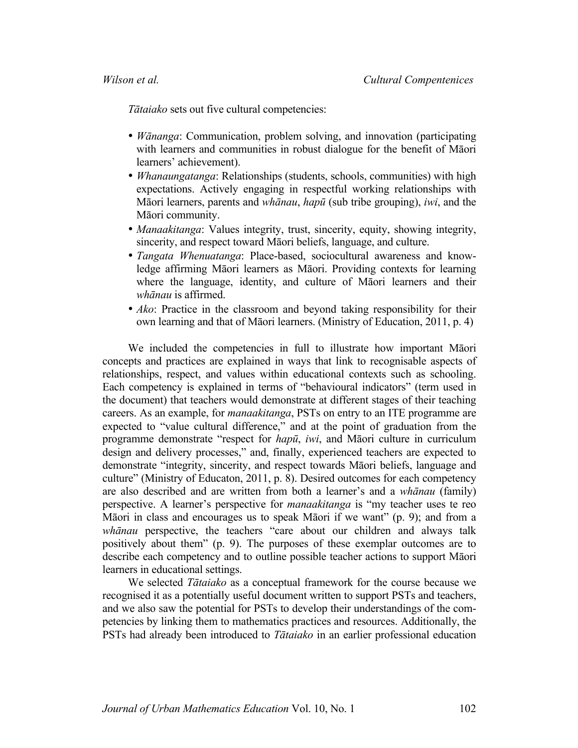*Tātaiako* sets out five cultural competencies:

- *Wānanga*: Communication, problem solving, and innovation (participating with learners and communities in robust dialogue for the benefit of Māori learners' achievement).
- *Whanaungatanga*: Relationships (students, schools, communities) with high expectations. Actively engaging in respectful working relationships with Māori learners, parents and *whānau*, *hapū* (sub tribe grouping), *iwi*, and the Māori community.
- *Manaakitanga*: Values integrity, trust, sincerity, equity, showing integrity, sincerity, and respect toward Māori beliefs, language, and culture.
- *Tangata Whenuatanga*: Place-based, sociocultural awareness and knowledge affirming Māori learners as Māori. Providing contexts for learning where the language, identity, and culture of Māori learners and their *whānau* is affirmed.
- *Ako*: Practice in the classroom and beyond taking responsibility for their own learning and that of Māori learners. (Ministry of Education, 2011, p. 4)

We included the competencies in full to illustrate how important Māori concepts and practices are explained in ways that link to recognisable aspects of relationships, respect, and values within educational contexts such as schooling. Each competency is explained in terms of "behavioural indicators" (term used in the document) that teachers would demonstrate at different stages of their teaching careers. As an example, for *manaakitanga*, PSTs on entry to an ITE programme are expected to "value cultural difference," and at the point of graduation from the programme demonstrate "respect for *hapū*, *iwi*, and Māori culture in curriculum design and delivery processes," and, finally, experienced teachers are expected to demonstrate "integrity, sincerity, and respect towards Māori beliefs, language and culture" (Ministry of Educaton, 2011, p. 8). Desired outcomes for each competency are also described and are written from both a learner's and a *whānau* (family) perspective. A learner's perspective for *manaakitanga* is "my teacher uses te reo Māori in class and encourages us to speak Māori if we want" (p. 9); and from a *whānau* perspective, the teachers "care about our children and always talk positively about them" (p. 9). The purposes of these exemplar outcomes are to describe each competency and to outline possible teacher actions to support Māori learners in educational settings.

We selected *Tātaiako* as a conceptual framework for the course because we recognised it as a potentially useful document written to support PSTs and teachers, and we also saw the potential for PSTs to develop their understandings of the competencies by linking them to mathematics practices and resources. Additionally, the PSTs had already been introduced to *Tātaiako* in an earlier professional education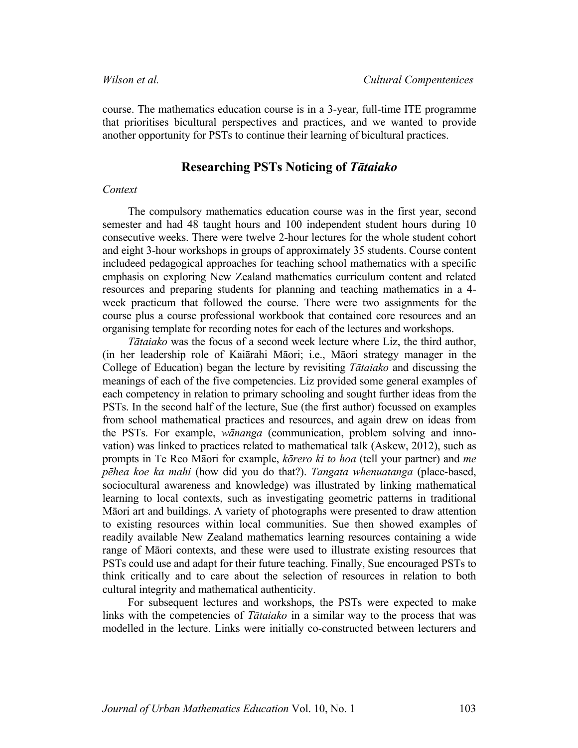course. The mathematics education course is in a 3-year, full-time ITE programme that prioritises bicultural perspectives and practices, and we wanted to provide another opportunity for PSTs to continue their learning of bicultural practices.

# **Researching PSTs Noticing of** *Tātaiako*

## *Context*

The compulsory mathematics education course was in the first year, second semester and had 48 taught hours and 100 independent student hours during 10 consecutive weeks. There were twelve 2-hour lectures for the whole student cohort and eight 3-hour workshops in groups of approximately 35 students. Course content includeed pedagogical approaches for teaching school mathematics with a specific emphasis on exploring New Zealand mathematics curriculum content and related resources and preparing students for planning and teaching mathematics in a 4 week practicum that followed the course. There were two assignments for the course plus a course professional workbook that contained core resources and an organising template for recording notes for each of the lectures and workshops.

*Tātaiako* was the focus of a second week lecture where Liz, the third author, (in her leadership role of Kaiārahi Māori; i.e., Māori strategy manager in the College of Education) began the lecture by revisiting *Tātaiako* and discussing the meanings of each of the five competencies. Liz provided some general examples of each competency in relation to primary schooling and sought further ideas from the PSTs. In the second half of the lecture, Sue (the first author) focussed on examples from school mathematical practices and resources, and again drew on ideas from the PSTs. For example, *wānanga* (communication, problem solving and innovation) was linked to practices related to mathematical talk (Askew, 2012), such as prompts in Te Reo Māori for example, *kōrero ki to hoa* (tell your partner) and *me pēhea koe ka mahi* (how did you do that?). *Tangata whenuatanga* (place-based, sociocultural awareness and knowledge) was illustrated by linking mathematical learning to local contexts, such as investigating geometric patterns in traditional Māori art and buildings. A variety of photographs were presented to draw attention to existing resources within local communities. Sue then showed examples of readily available New Zealand mathematics learning resources containing a wide range of Māori contexts, and these were used to illustrate existing resources that PSTs could use and adapt for their future teaching. Finally, Sue encouraged PSTs to think critically and to care about the selection of resources in relation to both cultural integrity and mathematical authenticity.

For subsequent lectures and workshops, the PSTs were expected to make links with the competencies of *Tātaiako* in a similar way to the process that was modelled in the lecture. Links were initially co-constructed between lecturers and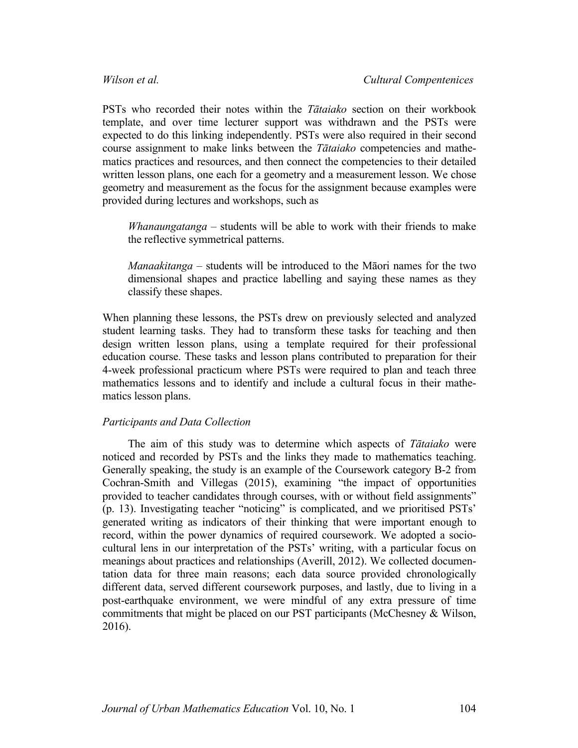PSTs who recorded their notes within the *Tātaiako* section on their workbook template, and over time lecturer support was withdrawn and the PSTs were expected to do this linking independently. PSTs were also required in their second course assignment to make links between the *Tātaiako* competencies and mathematics practices and resources, and then connect the competencies to their detailed written lesson plans, one each for a geometry and a measurement lesson. We chose geometry and measurement as the focus for the assignment because examples were provided during lectures and workshops, such as

*Whanaungatanga –* students will be able to work with their friends to make the reflective symmetrical patterns.

*Manaakitanga* – students will be introduced to the Māori names for the two dimensional shapes and practice labelling and saying these names as they classify these shapes.

When planning these lessons, the PSTs drew on previously selected and analyzed student learning tasks. They had to transform these tasks for teaching and then design written lesson plans, using a template required for their professional education course. These tasks and lesson plans contributed to preparation for their 4-week professional practicum where PSTs were required to plan and teach three mathematics lessons and to identify and include a cultural focus in their mathematics lesson plans.

# *Participants and Data Collection*

The aim of this study was to determine which aspects of *Tātaiako* were noticed and recorded by PSTs and the links they made to mathematics teaching. Generally speaking, the study is an example of the Coursework category B-2 from Cochran-Smith and Villegas (2015), examining "the impact of opportunities provided to teacher candidates through courses, with or without field assignments" (p. 13). Investigating teacher "noticing" is complicated, and we prioritised PSTs' generated writing as indicators of their thinking that were important enough to record, within the power dynamics of required coursework. We adopted a sociocultural lens in our interpretation of the PSTs' writing, with a particular focus on meanings about practices and relationships (Averill, 2012). We collected documentation data for three main reasons; each data source provided chronologically different data, served different coursework purposes, and lastly, due to living in a post-earthquake environment, we were mindful of any extra pressure of time commitments that might be placed on our PST participants (McChesney & Wilson, 2016).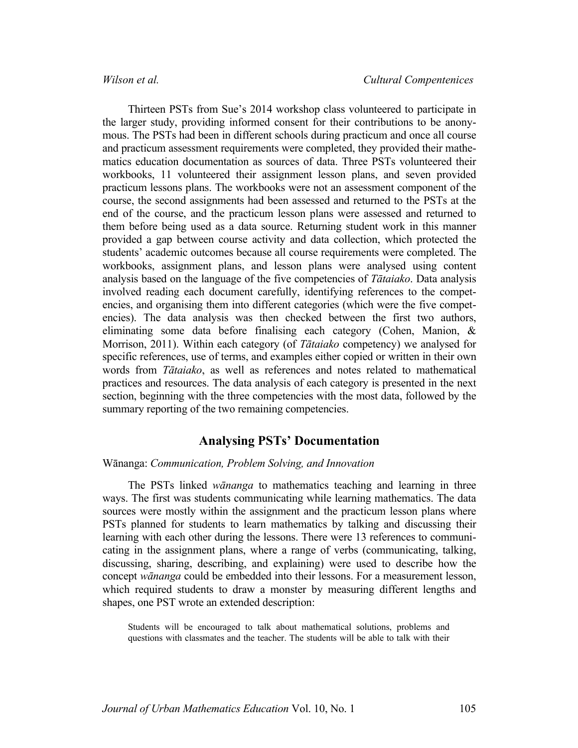Thirteen PSTs from Sue's 2014 workshop class volunteered to participate in the larger study, providing informed consent for their contributions to be anonymous. The PSTs had been in different schools during practicum and once all course and practicum assessment requirements were completed, they provided their mathematics education documentation as sources of data. Three PSTs volunteered their workbooks, 11 volunteered their assignment lesson plans, and seven provided practicum lessons plans. The workbooks were not an assessment component of the course, the second assignments had been assessed and returned to the PSTs at the end of the course, and the practicum lesson plans were assessed and returned to them before being used as a data source. Returning student work in this manner provided a gap between course activity and data collection, which protected the students' academic outcomes because all course requirements were completed. The workbooks, assignment plans, and lesson plans were analysed using content analysis based on the language of the five competencies of *Tātaiako*. Data analysis involved reading each document carefully, identifying references to the competencies, and organising them into different categories (which were the five competencies). The data analysis was then checked between the first two authors, eliminating some data before finalising each category (Cohen, Manion, & Morrison, 2011). Within each category (of *Tātaiako* competency) we analysed for specific references, use of terms, and examples either copied or written in their own words from *Tātaiako*, as well as references and notes related to mathematical practices and resources. The data analysis of each category is presented in the next section, beginning with the three competencies with the most data, followed by the summary reporting of the two remaining competencies.

# **Analysing PSTs' Documentation**

#### Wānanga: *Communication, Problem Solving, and Innovation*

The PSTs linked *wānanga* to mathematics teaching and learning in three ways. The first was students communicating while learning mathematics. The data sources were mostly within the assignment and the practicum lesson plans where PSTs planned for students to learn mathematics by talking and discussing their learning with each other during the lessons. There were 13 references to communicating in the assignment plans, where a range of verbs (communicating, talking, discussing, sharing, describing, and explaining) were used to describe how the concept *wānanga* could be embedded into their lessons. For a measurement lesson, which required students to draw a monster by measuring different lengths and shapes, one PST wrote an extended description:

Students will be encouraged to talk about mathematical solutions, problems and questions with classmates and the teacher. The students will be able to talk with their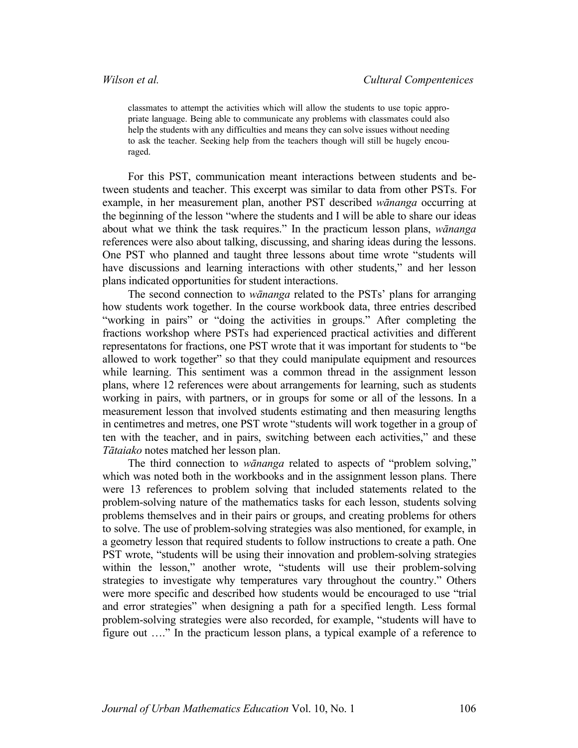classmates to attempt the activities which will allow the students to use topic appropriate language. Being able to communicate any problems with classmates could also help the students with any difficulties and means they can solve issues without needing to ask the teacher. Seeking help from the teachers though will still be hugely encouraged.

For this PST, communication meant interactions between students and between students and teacher. This excerpt was similar to data from other PSTs. For example, in her measurement plan, another PST described *wānanga* occurring at the beginning of the lesson "where the students and I will be able to share our ideas about what we think the task requires." In the practicum lesson plans, *wānanga* references were also about talking, discussing, and sharing ideas during the lessons. One PST who planned and taught three lessons about time wrote "students will have discussions and learning interactions with other students," and her lesson plans indicated opportunities for student interactions.

The second connection to *wānanga* related to the PSTs' plans for arranging how students work together. In the course workbook data, three entries described "working in pairs" or "doing the activities in groups." After completing the fractions workshop where PSTs had experienced practical activities and different representatons for fractions, one PST wrote that it was important for students to "be allowed to work together" so that they could manipulate equipment and resources while learning. This sentiment was a common thread in the assignment lesson plans, where 12 references were about arrangements for learning, such as students working in pairs, with partners, or in groups for some or all of the lessons. In a measurement lesson that involved students estimating and then measuring lengths in centimetres and metres, one PST wrote "students will work together in a group of ten with the teacher, and in pairs, switching between each activities," and these *Tātaiako* notes matched her lesson plan.

The third connection to *wānanga* related to aspects of "problem solving," which was noted both in the workbooks and in the assignment lesson plans. There were 13 references to problem solving that included statements related to the problem-solving nature of the mathematics tasks for each lesson, students solving problems themselves and in their pairs or groups, and creating problems for others to solve. The use of problem-solving strategies was also mentioned, for example, in a geometry lesson that required students to follow instructions to create a path. One PST wrote, "students will be using their innovation and problem-solving strategies within the lesson," another wrote, "students will use their problem-solving strategies to investigate why temperatures vary throughout the country." Others were more specific and described how students would be encouraged to use "trial and error strategies" when designing a path for a specified length. Less formal problem-solving strategies were also recorded, for example, "students will have to figure out …." In the practicum lesson plans, a typical example of a reference to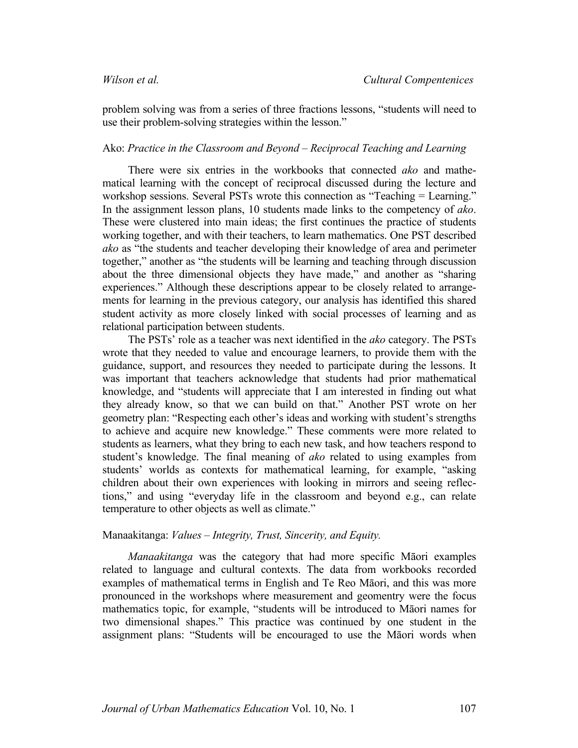problem solving was from a series of three fractions lessons, "students will need to use their problem-solving strategies within the lesson."

# Ako: *Practice in the Classroom and Beyond – Reciprocal Teaching and Learning*

There were six entries in the workbooks that connected *ako* and mathematical learning with the concept of reciprocal discussed during the lecture and workshop sessions. Several PSTs wrote this connection as "Teaching = Learning." In the assignment lesson plans, 10 students made links to the competency of *ako*. These were clustered into main ideas; the first continues the practice of students working together, and with their teachers, to learn mathematics. One PST described *ako* as "the students and teacher developing their knowledge of area and perimeter together," another as "the students will be learning and teaching through discussion about the three dimensional objects they have made," and another as "sharing experiences." Although these descriptions appear to be closely related to arrangements for learning in the previous category, our analysis has identified this shared student activity as more closely linked with social processes of learning and as relational participation between students.

The PSTs' role as a teacher was next identified in the *ako* category. The PSTs wrote that they needed to value and encourage learners, to provide them with the guidance, support, and resources they needed to participate during the lessons. It was important that teachers acknowledge that students had prior mathematical knowledge, and "students will appreciate that I am interested in finding out what they already know, so that we can build on that." Another PST wrote on her geometry plan: "Respecting each other's ideas and working with student's strengths to achieve and acquire new knowledge." These comments were more related to students as learners, what they bring to each new task, and how teachers respond to student's knowledge. The final meaning of *ako* related to using examples from students' worlds as contexts for mathematical learning, for example, "asking children about their own experiences with looking in mirrors and seeing reflections," and using "everyday life in the classroom and beyond e.g., can relate temperature to other objects as well as climate."

## Manaakitanga: *Values – Integrity, Trust, Sincerity, and Equity.*

*Manaakitanga* was the category that had more specific Māori examples related to language and cultural contexts. The data from workbooks recorded examples of mathematical terms in English and Te Reo Māori, and this was more pronounced in the workshops where measurement and geomentry were the focus mathematics topic, for example, "students will be introduced to Māori names for two dimensional shapes." This practice was continued by one student in the assignment plans: "Students will be encouraged to use the Māori words when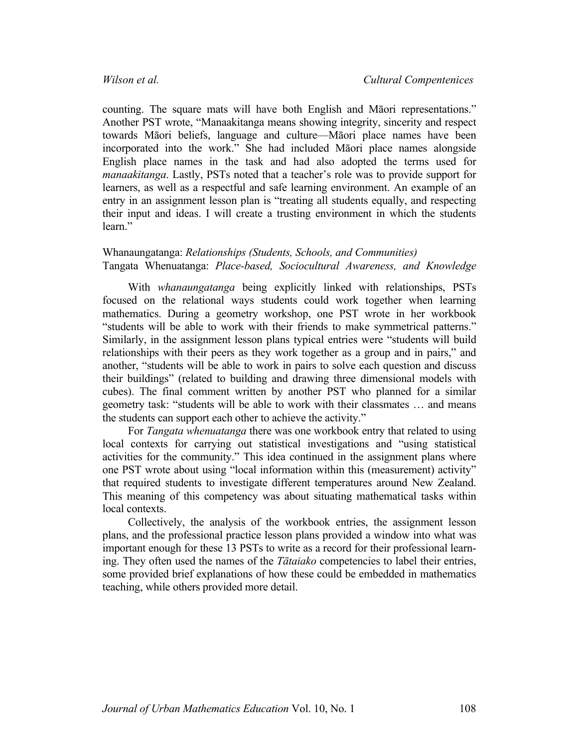counting. The square mats will have both English and Māori representations." Another PST wrote, "Manaakitanga means showing integrity, sincerity and respect towards Māori beliefs, language and culture—Māori place names have been incorporated into the work." She had included Māori place names alongside English place names in the task and had also adopted the terms used for *manaakitanga*. Lastly, PSTs noted that a teacher's role was to provide support for learners, as well as a respectful and safe learning environment. An example of an entry in an assignment lesson plan is "treating all students equally, and respecting their input and ideas. I will create a trusting environment in which the students learn"

# Whanaungatanga: *Relationships (Students, Schools, and Communities)* Tangata Whenuatanga: *Place-based, Sociocultural Awareness, and Knowledge*

With *whanaungatanga* being explicitly linked with relationships, PSTs focused on the relational ways students could work together when learning mathematics. During a geometry workshop, one PST wrote in her workbook "students will be able to work with their friends to make symmetrical patterns." Similarly, in the assignment lesson plans typical entries were "students will build relationships with their peers as they work together as a group and in pairs," and another, "students will be able to work in pairs to solve each question and discuss their buildings" (related to building and drawing three dimensional models with cubes). The final comment written by another PST who planned for a similar geometry task: "students will be able to work with their classmates … and means the students can support each other to achieve the activity."

For *Tangata whenuatanga* there was one workbook entry that related to using local contexts for carrying out statistical investigations and "using statistical activities for the community." This idea continued in the assignment plans where one PST wrote about using "local information within this (measurement) activity" that required students to investigate different temperatures around New Zealand. This meaning of this competency was about situating mathematical tasks within local contexts.

Collectively, the analysis of the workbook entries, the assignment lesson plans, and the professional practice lesson plans provided a window into what was important enough for these 13 PSTs to write as a record for their professional learning. They often used the names of the *Tātaiako* competencies to label their entries, some provided brief explanations of how these could be embedded in mathematics teaching, while others provided more detail.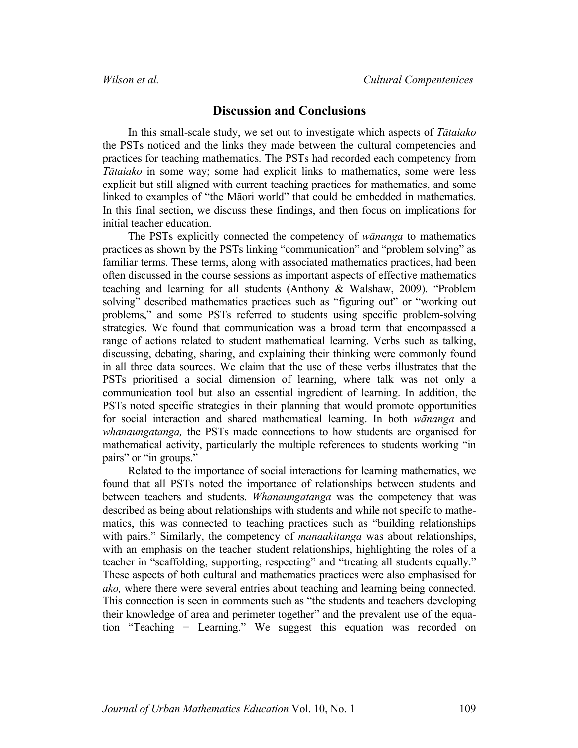# **Discussion and Conclusions**

In this small-scale study, we set out to investigate which aspects of *Tātaiako* the PSTs noticed and the links they made between the cultural competencies and practices for teaching mathematics. The PSTs had recorded each competency from *Tātaiako* in some way; some had explicit links to mathematics, some were less explicit but still aligned with current teaching practices for mathematics, and some linked to examples of "the Māori world" that could be embedded in mathematics. In this final section, we discuss these findings, and then focus on implications for initial teacher education.

The PSTs explicitly connected the competency of *wānanga* to mathematics practices as shown by the PSTs linking "communication" and "problem solving" as familiar terms. These terms, along with associated mathematics practices, had been often discussed in the course sessions as important aspects of effective mathematics teaching and learning for all students (Anthony & Walshaw, 2009). "Problem solving" described mathematics practices such as "figuring out" or "working out problems," and some PSTs referred to students using specific problem-solving strategies. We found that communication was a broad term that encompassed a range of actions related to student mathematical learning. Verbs such as talking, discussing, debating, sharing, and explaining their thinking were commonly found in all three data sources. We claim that the use of these verbs illustrates that the PSTs prioritised a social dimension of learning, where talk was not only a communication tool but also an essential ingredient of learning. In addition, the PSTs noted specific strategies in their planning that would promote opportunities for social interaction and shared mathematical learning. In both *wānanga* and *whanaungatanga,* the PSTs made connections to how students are organised for mathematical activity, particularly the multiple references to students working "in pairs" or "in groups."

Related to the importance of social interactions for learning mathematics, we found that all PSTs noted the importance of relationships between students and between teachers and students. *Whanaungatanga* was the competency that was described as being about relationships with students and while not specifc to mathematics, this was connected to teaching practices such as "building relationships with pairs." Similarly, the competency of *manaakitanga* was about relationships, with an emphasis on the teacher–student relationships, highlighting the roles of a teacher in "scaffolding, supporting, respecting" and "treating all students equally." These aspects of both cultural and mathematics practices were also emphasised for *ako,* where there were several entries about teaching and learning being connected. This connection is seen in comments such as "the students and teachers developing their knowledge of area and perimeter together" and the prevalent use of the equation "Teaching = Learning." We suggest this equation was recorded on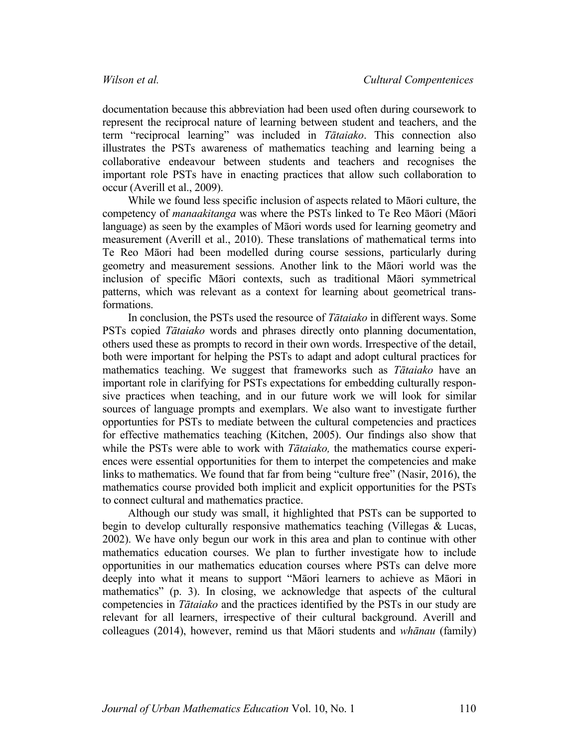documentation because this abbreviation had been used often during coursework to represent the reciprocal nature of learning between student and teachers, and the term "reciprocal learning" was included in *Tātaiako*. This connection also illustrates the PSTs awareness of mathematics teaching and learning being a collaborative endeavour between students and teachers and recognises the important role PSTs have in enacting practices that allow such collaboration to occur (Averill et al., 2009).

While we found less specific inclusion of aspects related to Māori culture, the competency of *manaakitanga* was where the PSTs linked to Te Reo Māori (Māori language) as seen by the examples of Māori words used for learning geometry and measurement (Averill et al., 2010). These translations of mathematical terms into Te Reo Māori had been modelled during course sessions, particularly during geometry and measurement sessions. Another link to the Māori world was the inclusion of specific Māori contexts, such as traditional Māori symmetrical patterns, which was relevant as a context for learning about geometrical transformations.

In conclusion, the PSTs used the resource of *Tātaiako* in different ways. Some PSTs copied *Tātaiako* words and phrases directly onto planning documentation, others used these as prompts to record in their own words. Irrespective of the detail, both were important for helping the PSTs to adapt and adopt cultural practices for mathematics teaching. We suggest that frameworks such as *Tātaiako* have an important role in clarifying for PSTs expectations for embedding culturally responsive practices when teaching, and in our future work we will look for similar sources of language prompts and exemplars. We also want to investigate further opportunties for PSTs to mediate between the cultural competencies and practices for effective mathematics teaching (Kitchen, 2005). Our findings also show that while the PSTs were able to work with *Tātaiako,* the mathematics course experiences were essential opportunities for them to interpet the competencies and make links to mathematics. We found that far from being "culture free" (Nasir, 2016), the mathematics course provided both implicit and explicit opportunities for the PSTs to connect cultural and mathematics practice.

Although our study was small, it highlighted that PSTs can be supported to begin to develop culturally responsive mathematics teaching (Villegas & Lucas, 2002). We have only begun our work in this area and plan to continue with other mathematics education courses. We plan to further investigate how to include opportunities in our mathematics education courses where PSTs can delve more deeply into what it means to support "Māori learners to achieve as Māori in mathematics" (p. 3). In closing, we acknowledge that aspects of the cultural competencies in *Tātaiako* and the practices identified by the PSTs in our study are relevant for all learners, irrespective of their cultural background. Averill and colleagues (2014), however, remind us that Māori students and *whānau* (family)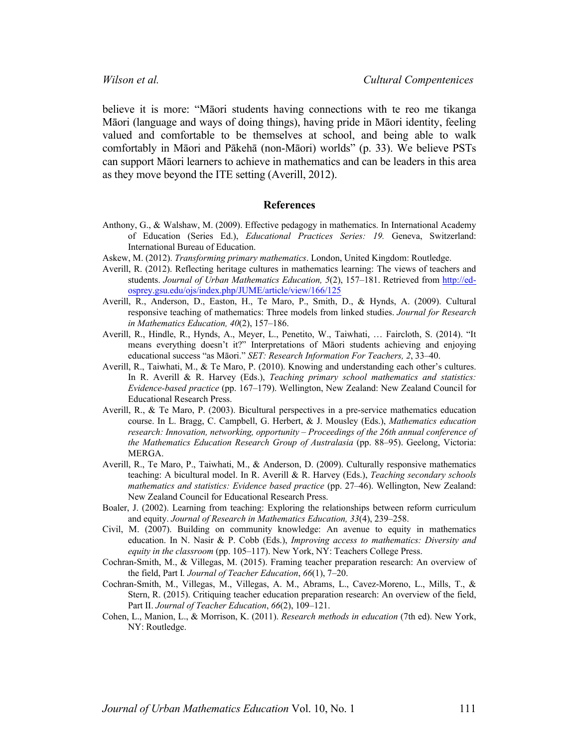believe it is more: "Māori students having connections with te reo me tikanga Māori (language and ways of doing things), having pride in Māori identity, feeling valued and comfortable to be themselves at school, and being able to walk comfortably in Māori and Pākehā (non-Māori) worlds" (p. 33). We believe PSTs can support Māori learners to achieve in mathematics and can be leaders in this area as they move beyond the ITE setting (Averill, 2012).

#### **References**

- Anthony, G., & Walshaw, M. (2009). Effective pedagogy in mathematics. In International Academy of Education (Series Ed.), *Educational Practices Series: 19.* Geneva, Switzerland: International Bureau of Education.
- Askew, M. (2012). *Transforming primary mathematics*. London, United Kingdom: Routledge.
- Averill, R. (2012). Reflecting heritage cultures in mathematics learning: The views of teachers and students. *Journal of Urban Mathematics Education, 5*(2), 157–181. Retrieved from http://edosprey.gsu.edu/ojs/index.php/JUME/article/view/166/125
- Averill, R., Anderson, D., Easton, H., Te Maro, P., Smith, D., & Hynds, A. (2009). Cultural responsive teaching of mathematics: Three models from linked studies. *Journal for Research in Mathematics Education, 40*(2), 157–186.
- Averill, R., Hindle, R., Hynds, A., Meyer, L., Penetito, W., Taiwhati, … Faircloth, S. (2014). "It means everything doesn't it?" Interpretations of Māori students achieving and enjoying educational success "as Māori." *SET: Research Information For Teachers, 2*, 33–40.
- Averill, R., Taiwhati, M., & Te Maro, P. (2010). Knowing and understanding each other's cultures. In R. Averill & R. Harvey (Eds.), *Teaching primary school mathematics and statistics: Evidence-based practice* (pp. 167–179). Wellington, New Zealand: New Zealand Council for Educational Research Press.
- Averill, R., & Te Maro, P. (2003). Bicultural perspectives in a pre-service mathematics education course. In L. Bragg, C. Campbell, G. Herbert, & J. Mousley (Eds.), *Mathematics education research: Innovation, networking, opportunity – Proceedings of the 26th annual conference of the Mathematics Education Research Group of Australasia* (pp. 88–95). Geelong, Victoria: MERGA.
- Averill, R., Te Maro, P., Taiwhati, M., & Anderson, D. (2009). Culturally responsive mathematics teaching: A bicultural model. In R. Averill & R. Harvey (Eds.), *Teaching secondary schools mathematics and statistics: Evidence based practice* (pp. 27–46). Wellington, New Zealand: New Zealand Council for Educational Research Press.
- Boaler, J. (2002). Learning from teaching: Exploring the relationships between reform curriculum and equity. *Journal of Research in Mathematics Education, 33*(4), 239–258.
- Civil, M. (2007). Building on community knowledge: An avenue to equity in mathematics education. In N. Nasir & P. Cobb (Eds.), *Improving access to mathematics: Diversity and equity in the classroom* (pp. 105–117). New York, NY: Teachers College Press.
- Cochran-Smith, M., & Villegas, M. (2015). Framing teacher preparation research: An overview of the field, Part I*. Journal of Teacher Education*, *66*(1), 7–20.
- Cochran-Smith, M., Villegas, M., Villegas, A. M., Abrams, L., Cavez-Moreno, L., Mills, T., & Stern, R. (2015). Critiquing teacher education preparation research: An overview of the field, Part II. *Journal of Teacher Education*, *66*(2), 109–121.
- Cohen, L., Manion, L., & Morrison, K. (2011). *Research methods in education* (7th ed). New York, NY: Routledge.